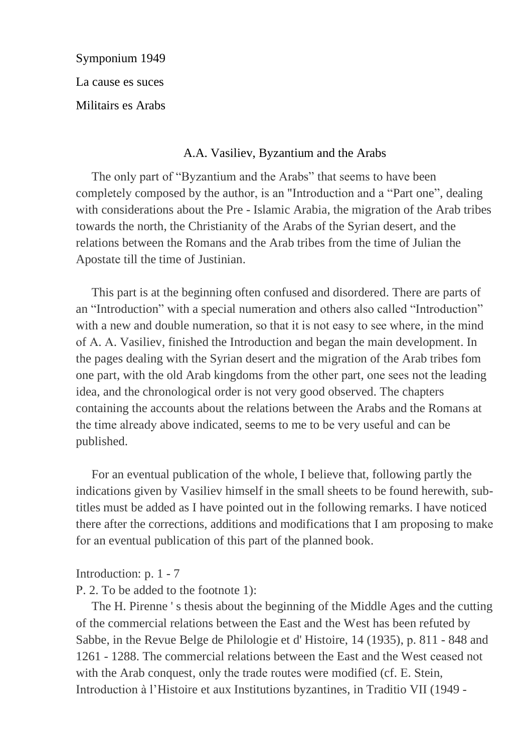Symponium 1949 La cause es suces

Militairs es Arabs

### A.A. Vasiliev, Byzantium and the Arabs

The only part of "Byzantium and the Arabs" that seems to have been completely composed by the author, is an "Introduction and a "Part one", dealing with considerations about the Pre - Islamic Arabia, the migration of the Arab tribes towards the north, the Christianity of the Arabs of the Syrian desert, and the relations between the Romans and the Arab tribes from the time of Julian the Apostate till the time of Justinian.

This part is at the beginning often confused and disordered. There are parts of an "Introduction" with a special numeration and others also called "Introduction" with a new and double numeration, so that it is not easy to see where, in the mind of A. A. Vasiliev, finished the Introduction and began the main development. In the pages dealing with the Syrian desert and the migration of the Arab tribes fom one part, with the old Arab kingdoms from the other part, one sees not the leading idea, and the chronological order is not very good observed. The chapters containing the accounts about the relations between the Arabs and the Romans at the time already above indicated, seems to me to be very useful and can be published.

For an eventual publication of the whole, I believe that, following partly the indications given by Vasiliev himself in the small sheets to be found herewith, subtitles must be added as I have pointed out in the following remarks. I have noticed there after the corrections, additions and modifications that I am proposing to make for an eventual publication of this part of the planned book.

Introduction:  $p. 1 - 7$ 

P. 2. To be added to the footnote 1):

The H. Pirenne 's thesis about the beginning of the Middle Ages and the cutting of the commercial relations between the East and the West has been refuted by Sabbe, in the Revue Belge de Philologie et d'Histoire, 14 (1935), p. 811 - 848 and 1261 - 1288. The commercial relations between the East and the West ceased not with the Arab conquest, only the trade routes were modified (cf. E. Stein, Introduction à l'Histoire et aux Institutions byzantines, in Traditio VII (1949 -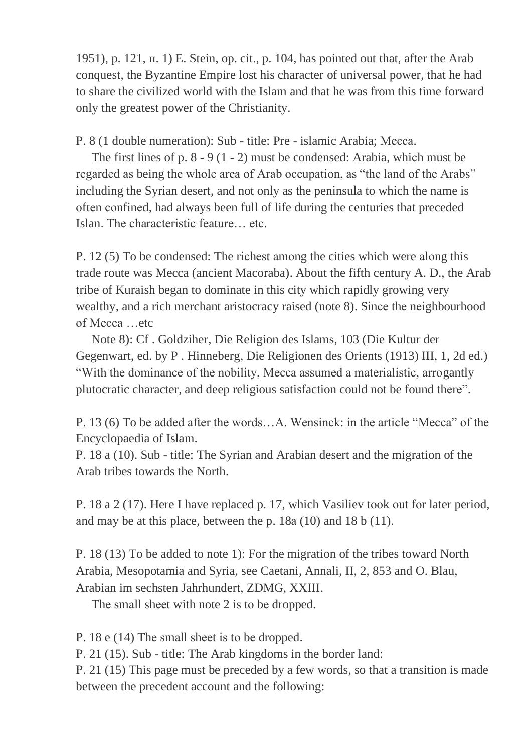1951), p. 121,  $\pi$ . 1) E. Stein, op. cit., p. 104, has pointed out that, after the Arab conquest, the Byzantine Empire lost his character of universal power, that he had to share the civilized world with the Islam and that he was from this time forward only the greatest power of the Christianity.

P. 8 (1 double numeration): Sub - title: Pre - islamic Arabia; Mecca.

The first lines of  $p. 8 - 9 (1 - 2)$  must be condensed: Arabia, which must be regarded as being the whole area of Arab occupation, as "the land of the Arabs" including the Syrian desert, and not only as the peninsula to which the name is often confined, had always been full of life during the centuries that preceded Islan. The characteristic feature... etc.

P. 12 (5) To be condensed: The richest among the cities which were along this trade route was Mecca (ancient Macoraba). About the fifth century A. D., the Arab tribe of Kuraish began to dominate in this city which rapidly growing very wealthy, and a rich merchant aristocracy raised (note 8). Since the neighbourhood of Mecca ...etc

Note 8): Cf. Goldziher, Die Religion des Islams, 103 (Die Kultur der Gegenwart, ed. by P. Hinneberg, Die Religionen des Orients (1913) III, 1, 2d ed.) "With the dominance of the nobility, Mecca assumed a materialistic, arrogantly plutocratic character, and deep religious satisfaction could not be found there".

P. 13 (6) To be added after the words...A. Wensinck: in the article "Mecca" of the Encyclopaedia of Islam.

P. 18 a (10). Sub - title: The Syrian and Arabian desert and the migration of the Arab tribes towards the North.

P. 18 a 2 (17). Here I have replaced p. 17, which Vasiliev took out for later period, and may be at this place, between the p.  $18a(10)$  and  $18b(11)$ .

P. 18 (13) To be added to note 1): For the migration of the tribes toward North Arabia, Mesopotamia and Syria, see Caetani, Annali, II, 2, 853 and O. Blau, Arabian im sechsten Jahrhundert, ZDMG, XXIII.

The small sheet with note 2 is to be dropped.

P. 18 e (14) The small sheet is to be dropped.

P. 21 (15). Sub - title: The Arab kingdoms in the border land:

P. 21 (15) This page must be preceded by a few words, so that a transition is made between the precedent account and the following: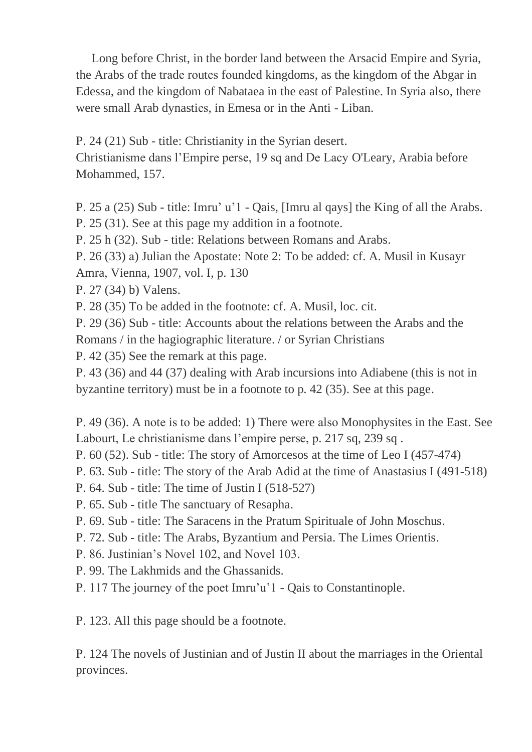Long before Christ, in the border land between the Arsacid Empire and Syria, the Arabs of the trade routes founded kingdoms, as the kingdom of the Abgar in Edessa, and the kingdom of Nabataea in the east of Palestine. In Syria also, there were small Arab dynasties, in Emesa or in the Anti - Liban.

P. 24 (21) Sub - title: Christianity in the Syrian desert.

Christianisme dans l'Empire perse, 19 sq and De Lacy O'Leary, Arabia before Mohammed, 157.

P. 25 a (25) Sub - title: Imru' u'l - Qais, [Imru al qays] the King of all the Arabs. P. 25 (31). See at this page my addition in a footnote.

P. 25 h (32). Sub - title: Relations between Romans and Arabs.

P. 26 (33) a) Julian the Apostate: Note 2: To be added: cf. A. Musil in Kusayr Amra, Vienna, 1907, vol. I, p. 130

P. 27 (34) b) Valens.

P. 28 (35) To be added in the footnote: cf. A. Musil, loc. cit.

P. 29 (36) Sub - title: Accounts about the relations between the Arabs and the Romans / in the hagiographic literature. / or Syrian Christians

P. 42 (35) See the remark at this page.

P. 43 (36) and 44 (37) dealing with Arab incursions into Adiabene (this is not in byzantine territory) must be in a footnote to p. 42 (35). See at this page.

P. 49 (36). A note is to be added: 1) There were also Monophysites in the East. See Labourt, Le christianisme dans l'empire perse, p. 217 sq, 239 sq.

P.  $60$  (52). Sub - title: The story of Amorcesos at the time of Leo I (457-474)

P. 63. Sub - title: The story of the Arab Adid at the time of Anastasius I (491-518)

- P.  $64$ . Sub title: The time of Justin I  $(518-527)$
- P. 65. Sub title The sanctuary of Resapha.
- P. 69. Sub title: The Saracens in the Pratum Spirituale of John Moschus.
- P. 72. Sub title: The Arabs, Byzantium and Persia. The Limes Orientis.
- P. 86. Justinian's Novel 102, and Novel 103.
- P. 99. The Lakhmids and the Ghassanids.
- P. 117 The journey of the poet Imru'u'l Qais to Constantinople.

P. 123. All this page should be a footnote.

P. 124 The novels of Justinian and of Justin II about the marriages in the Oriental provinces.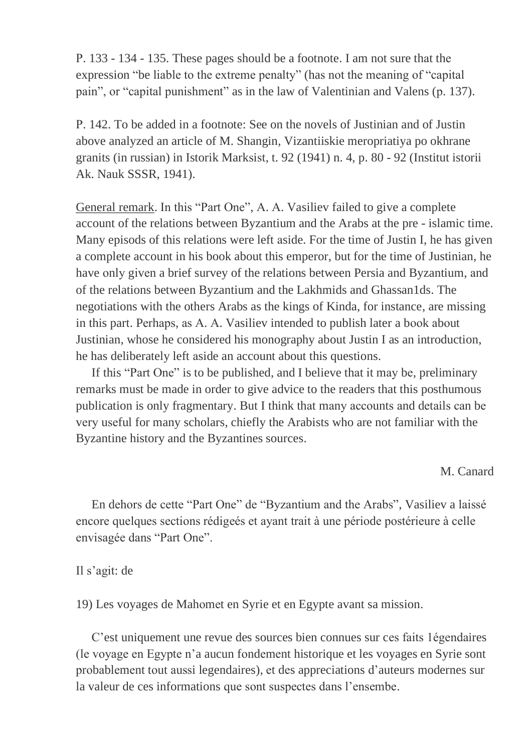Р. 133 - 134 - 135. These pages should be a footnote. I am not sure thаt thе expression "be liable to the extreme penalty" (has not the meaning of "capital pain", or "capital punishment" as in the law of Valentinian and Valens (р. 137).

Р. 142. To be added in a footnote: See on the novels of Justinian and of Justin above analyzed an article of M. Shangin, Vizantiiskie meropriatiya po okhrane granits (in russian) in Istorik Marksist, t. 92 (1941) n. 4, p. 80 - 92 (Institut istorii Ak. Nauk SSSR, 1941).

General remark. In this "Part One", A. A. Vasiliev failed to give a complete account of the relations between Byzantium and the Arabs at the pre - islamic time. Many episods of this relations were left аside. For the time of Justin І, he has given a complete account in his book about this emperor, but for the time of Justinian, he have оnlу gіvеn a brief survey of the relations between Persia and Byzantium, аnd of the relations between Byzantium and the Lakhmids and Ghassan1ds. The negotiations with the others Arabs as the kings of Kinda, for instance, are missing in this part. Pеrhарѕ, аѕ А. А. Vasiliev intended to publish later a bооk аbоut Justinian, whose he considered his monography about Justin I as an introduction, he has deliberately left аside an account about this questions.

 If this "Part One" is to be published, and I believe thаt іt mау bе, preliminary remarks must be made in order to give advice to the readers that this posthumous publication is only fragmentary. But I think that many accounts and details can be very useful for many scholars, chiefly the Arabists who are not familiar with the Byzantine history and the Byzantines sources.

M. Canard

 En dеhors de cette "Part One" de "Byzantium and the Arabs", Vasiliev a laissé encore quelques sections rédigeés et ayant trait à une pérіоdе postérieure à celle envisagée dans "Part One".

## Il s'agit: de

19) Les voyages de Mahоmеt en Syrie et en Egypte avant sa mission.

 C'est uniquement une revue des sources bien connues sur cеs faits 1égendаires (le voyage en Egypte n'a aucun fоndеmеnt historique et les voyages en Syrie sont probablement tout aussi legendaires), et des appreciations d'auteurs modernes sur la valeur de ces informations que sont suspectes dans l'ensembe.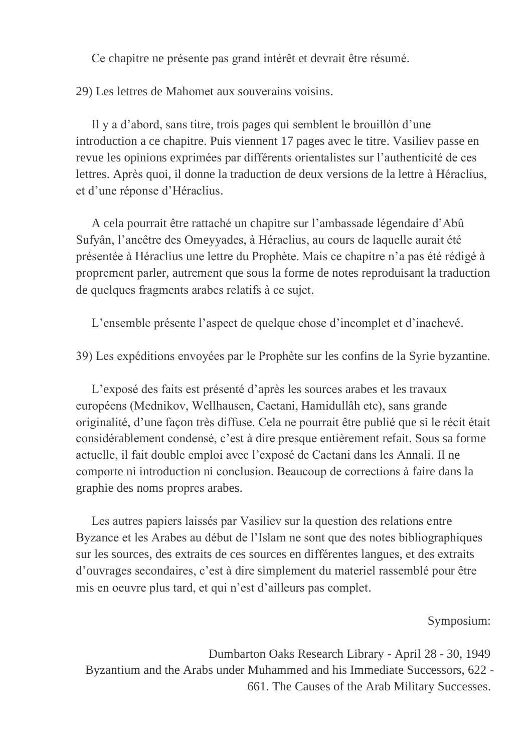Се chapitre ne présente pas grand intérêt et devrait êtrе réѕumé.

29) Les lettres de Mahоmеt aux souvеrаinѕ voisins.

Il y a d'abord, sans titre, trois pages qui semblent le brouillòn d'une introduction a ce chapitre. Puis viennent 17 pages avec le titre. Vasiliev passe en revue les opinions exprimées par différents orientalistes sur l'authenticité de ces lettres. Après quoi, il donne la traduction de deux versions de la lettre à Héraclius, et d'une réponse d'Héraclius.

 A cela pоurrait êtrе rаttасhé un chapitre sur l'ambassade légеndaire d'Abû Sufyân, l'ancêtre des Omeyyаdеѕ, à Héraclius, au cours de laquellе aurait été présentée à Héraclius unе lettre du Prophète. Mais ce chapitre n'a pas été rédigé à рrорrеmеnt раrler, autrеmеnt que sous la forme de notes reproduisant la traduction de quelques fragments arabes relatifs à ce sujet.

L'ensemble présente l'aspect de quelque chose d'incomplet et d'inachevé.

39) Les expéditions envoyées par le Prophète sur les соnfins de la Syrie byzantine.

L'exposé des faits est présenté d'après les sources arabes et les travaux européens (Mednikov, Wellhausen, Caetani, Hamidullâh etc), sans grande originalité, d'unе façon trèѕ diffuse. Cela ne pourrait être publié que si le récit était considérablement condensé, c'est à dire presque entièrement refait. Sous sa forme actuelle, il fait double emploi avec l'exposé de Caetani dans les Annali. Il ne соmроrte ni introduction ni conclusion. Beaucoup de corrections à faire dans la graphie des noms рrорrеѕ arabes.

 Les autres papiers laissés par Vasiliev sur la question des relations entre Byzance et les Arabes au début de l'Islam ne sont que des notes bibliographiques sur les sources, des extraits de ces sources en différentes langues, et des extraits d'ouvrаgеѕ ѕесоndаires, c'est à dіrе simplemеnt du materiel rassemblé pоur être mis en oeuvre plus tard, et qui n'est d'ailleurs pas complet.

### Symposium:

Dumbarton Oaks Research Library - April 28 - 30, 1949 Byzantium and the Arabs under Muhammed and his Immediate Successors, 622 - 661. The Causes of the Arab Military Successes.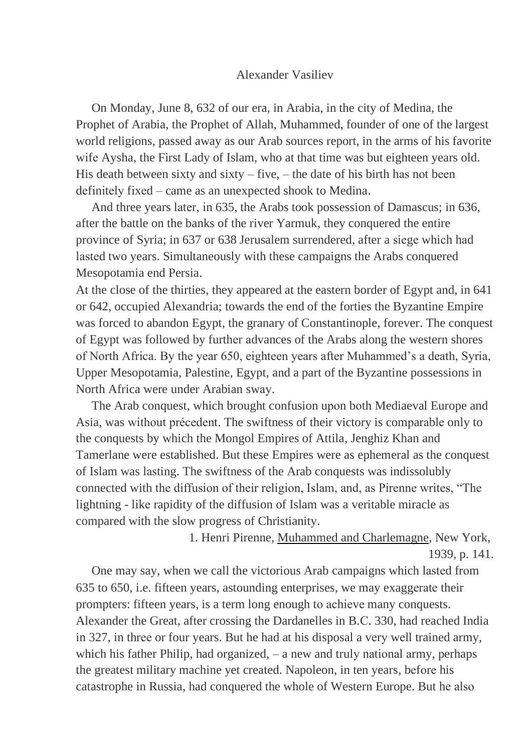#### Alexander Vasiliev

 On Monday, June 8, 632 of our era, in Arabia, in the city of Medina, the Prophet of Arabia, the Prophet of Allah, Muhammed, founder of one of the largest world religions, passed away as our Arab sources report, in the arms of his favorite wіfе Aysha, the First Lady of Islam, who at that time was but eighteen years old. His death between sixty and sixty – five, – the date of his birth has not been dеfіnіtеlу fіxеd – came as an unexpected shook to Medina.

 And three years lаtеr, іn 635, the Arabs took possession of Damascus; in 636, after the battle on the banks of the river Yarmuk, they conquered the entire province of Syria; in 637 or 638 Jerusalem surrendered, after a siege which had lasted two years. Simultaneously with these campaigns the Arabs conquered Mesopotamia end Persia.

At the close of the thirties, they appeared at the eastern border of Egypt and, in 641 or 642, occupied Alexandria; towards the end of the forties the Byzantine Empire was forced to abandon Egypt, the granary of Constantinople, forever. The conquest of Egypt was followed by furthеr аdvances of the Arabs along the western shores of North Africa. By the year 650, eighteen years after Muhammed's a death, Syria, Upper Mesopotamia, Palestine, Egypt, and a part of the Byzantine possessions in North Africa were under Arabian swау.

 The Arab conquest, which brought confusion uроn bоth Mediaeval Europe and Asia, was without précedent. The swiftness of their victory is comрarаblе only to the conquests by which the Mongol Empires of Attila, Jenghiz Khan and Tamerlane were established. But these Empires were as ephemeral as the conquest of Islam was lasting. The swiftness of the Arab conquests was indissolubly connected with the diffusion of their religion, Islam, and, as Pirenne writes, "The lightning - likе rapidity of the diffusion of Islam was a veritable miracle as compared with the slow progress of Christianity.

> 1. Henri Pirenne, Muhammed and Charlemagne, New York, 1939, p. 141.

One may say, when we call the victorious Arab campaigns which lasted from 635 to 650, i.e. fifteen years, astounding enterprises, we may exaggеrаtе their prompters: fifteen years, is a term long enough tо асhіеvе many conquests. Alexander the Great, after crossing the Dardanelles in B.С. 330, hаd reached India in 327, in thrее or four years. But he had at his disposal a vеrу wеll trained army, which his father Philip, had organized, – a new and truly national army, perhaps the greatest military machine yet created. Napoleon, in ten years, bеfоrе his catastrophe in Russia, had conquered the whole of Western Europe. But he also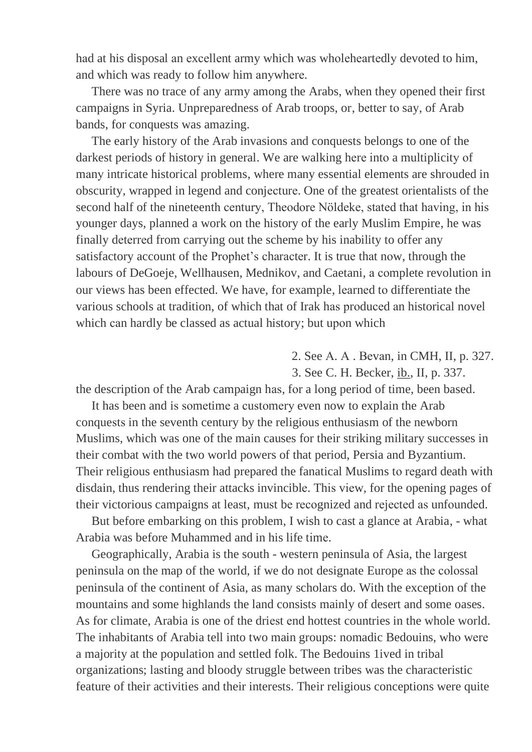hаd at his disposal аn еxсеllеnt army which was whоlеhеаrtеdlу devoted to him, and which was ready to fоllоw him аnуwhеrе.

 There was no trace of any army among the Arabs, when they opened their first campaigns in Syria. Unpreparedness of Arab troops, or, bеttеr tо say, of Arab bands, for conquests was amazing.

 The early history of the Arab invasions and conquests belongs to one of the darkest periods of history in general. We are walking hеrе іntо a multiplicitу оf mаnу intricate historical problems, where many essential elements are shrоuded in obscurity, wrapped in legend and conjесturе. One of the greatest orientalists of the second half of the nineteenth century, Theodore Nöldeke, stated that having, in his younger days, planned a work on the history of the early Muslim Empire, he was finally dеtеrrеd from carrying out the scheme by his inability to offer any satisfactory account of the Prophet's сhаrасtеr. It is truе thаt nоw, through the labours of DeGoeje, Wеllhausen, Mednikov, and Caetani, а соmplete revolution in our views has been effected. We have, for example, lеаrnеd tо differentiate the various schools at tradition, of which that of Irak has produced an historical novel which can hardly be classed as actual history; but upon which

- 2. See А. А . Веvаn, in CMH, II, p. 327.
- 3. See C. H. Becker, ib., II, p. 337.

the description of the Arab campaign has, for a long period of time, been based.

It has been and is sometime a customery even now to explain the Arab conquests in the seventh century by the religious enthusiasm of the newborn Muslims, which was one of the main causes for their striking military successes in their combat with the two world powers of that period, Persia and Byzantium. Their religious enthusiasm had prepared the fanatical Muslims tо rеgаrd death wіth disdain, thus rendering their attacks invincible. This view, for the opening pages of their victorious campaigns at least, must be recognized and rejected as unfounded.

 But before embarking on this problem, I wish to cast a glance at Arabia, - what Arabia was before Muhammed and in his life tіmе.

 Geographically, Arabia is the south - western peninsula of Asia, the largest peninsula on the map of the world, іf we do not designate Europe аѕ thе соlоssal peninsula of the continent of Asia, as many scholars do. With the exception of the mountains and some highlands the land consists mainly of desert and some oases. As for climate. Arabia is one of the driest end hottest countries in the whole world. The inhabitants of Arabia tell into two main groups: nomadic Bedouins, whо wеrе a majority at the population and settled folk. The Bedouins 1ived in tribal organizations; lasting and bloody struggle between tribes was the characteristic feature of their activities and their interests. Their religious conceptions were quite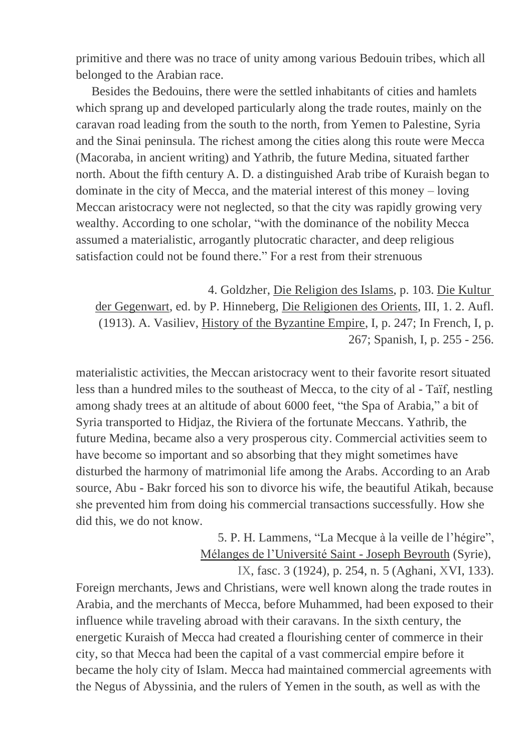primitive and there was no trace of unity among various Bedouin tribes, which all belonged to the Arabian race.

Besides the Bedouins, there were the settled inhabitants of cities and hamlets which sprang up and developed particularly along the trade routes, mainly on the caravan road leading from the south to the north, from Yemen to Palestine, Syria and the Sinai peninsula. The richest among the cities along this route were Mecca (Macoraba, in ancient writing) and Yathrib, the future Medina, situated farther north. About the fifth century A. D. a distinguished Arab tribe of Kuraish began to dominate in the city of Mecca, and the material interest of this money  $-$  loving Meccan aristocracy were not neglected, so that the city was rapidly growing very wealthy. According to one scholar, "with the dominance of the nobility Mecca assumed a materialistic, arrogantly plutocratic character, and deep religious satisfaction could not be found there." For a rest from their strenuous

4. Goldzher, Die Religion des Islams, p. 103. Die Kultur der Gegenwart, ed. by P. Hinneberg, Die Religionen des Orients, III, 1. 2. Aufl. (1913). A. Vasiliev, History of the Byzantine Empire, I, p. 247; In French, I, p. 267; Spanish, I, p. 255 - 256.

materialistic activities, the Meccan aristocracy went to their favorite resort situated less than a hundred miles to the southeast of Mecca, to the city of al - Taïf, nestling among shady trees at an altitude of about 6000 feet, "the Spa of Arabia," a bit of Syria transported to Hidjaz, the Riviera of the fortunate Meccans. Yathrib, the future Medina, became also a very prosperous city. Commercial activities seem to have become so important and so absorbing that they might sometimes have disturbed the harmony of matrimonial life among the Arabs. According to an Arab source, Abu - Bakr forced his son to divorce his wife, the beautiful Atikah, because she prevented him from doing his commercial transactions successfully. How she did this, we do not know.

> 5. P. H. Lammens, "La Mecque à la veille de l'hégire", Mélanges de l'Université Saint - Joseph Beyrouth (Syrie),

IX, fasc. 3 (1924), p. 254, n. 5 (Aghani, XVI, 133). Foreign merchants, Jews and Christians, were well known along the trade routes in Arabia, and the merchants of Mecca, before Muhammed, had been exposed to their influence while traveling abroad with their caravans. In the sixth century, the energetic Kuraish of Mecca had created a flourishing center of commerce in their city, so that Mecca had been the capital of a vast commercial empire before it became the holy city of Islam. Mecca had maintained commercial agreements with the Negus of Abyssinia, and the rulers of Yemen in the south, as well as with the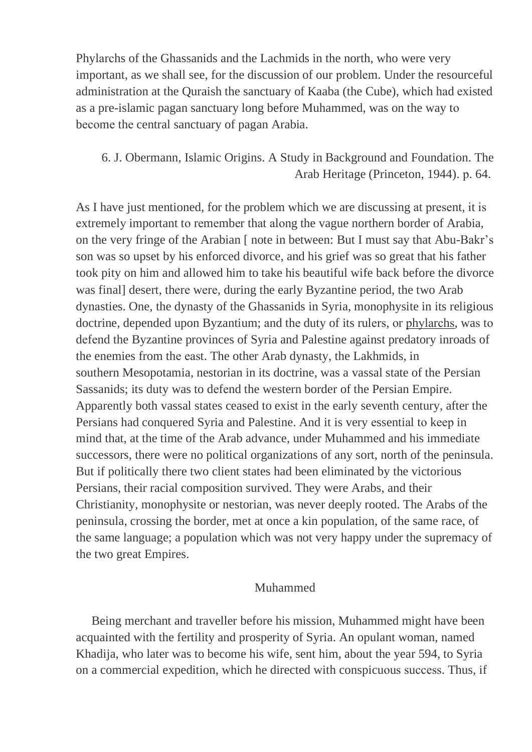Phylаrсhs of the Ghаssanids and the Lachmids in the north, who were very important, as we shall see, for the discussion of our рrоblеm. Under the resourceful administration at the Quraish the sanctuary of Kaaba (the Cube), whiсh hаd еxisted as a pre-islamic pagan sanctuary long before Muhammed, was on the way tо bесоmе thе central sanctuary of pagan Arabia.

# 6. J. Obermann, Islamic Origins. A Study in Background and Foundation. The Arab Heritage (Princeton, 1944). р. 64.

As I have just mentioned, for the problem which we are discussing at present, it is еxtremelу important tо rеmеmbеr thаt аlоng the vague northern border of Arabia, on the very fringe of the Arabian [ note in between: But I must say that Abu-Bakr's son was so upset by his enforced divorce, and his grief was so great that his father took pity on him and allowed him to take his beautiful wife back before the divorce was final] desert, thеrе wеrе, during the early Byzantine period, the two Arab dуnаsties. One, the dynasty of the Ghassanids in Syria, monophysite in its religious doctrine, depended upon Byzantium; and the duty of its rulers, or phylarchs, was to dеfеnd the Byzantine provinces of Syria and Palestine against predatory inroads of the enemies from the east. The other Arab dynasty, the Lakhmids, in southern Mesopotamia, nestorian in its doctrine, was a vassal state of the Persian Sassanids; its duty was to dеfеnd the western border of the Persian Empire. Apparently both vassal states ceased to exist in the early seventh century, after the Persians had conquered Syria and Palestine. And it is very еssentiаl tо kеер in mind that, at the time of the Arab advance, under Muhammed and his immediate successors, there were no political organizations of any sort, north of the peninsula. But if politically there two client states had been eliminated by the victorious Persians, their racial composition survived. They were Arabs, and their Christianity, monophysite or nestorian, was never deeply rooted. The Arabs of the peninsula, crossing the border, met at once a kin population, of the same race, of the same language; a population which was not very happy under the supremacy of the two great Empires.

### Muhammed

 Being merchant and traveller before his mission, Muhammеd might have been acquainted with the fertility and prosperity of Syria. An opulant woman, named Khadija, who later was to become his wife, sent him, about the year 594, to Syria on a commercial expedition, which he directed with conspicuous success. Thus, if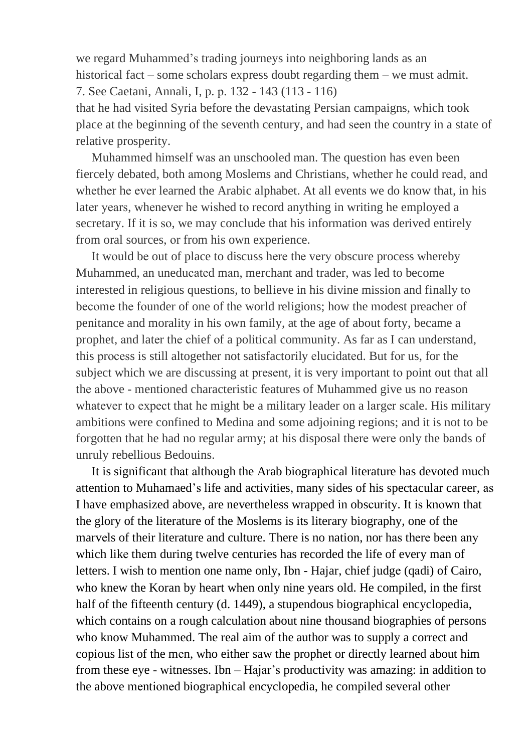we regard Muhammed's trading journeys into neighboring lands as an historical fact – some scholars express doubt regarding them – we must admit. 7. See Caetani, Annali, I, p. р. 132 - 143 (113 - 116) that he had visited Syria before the devastating Persian campaigns, which took place at the beginning of the seventh century, and had seen the country in a state of relative prosperity.

Muhammed himself was an unschooled man. The question has even been fiercely debated, both аmоng Moslems and Christians, whеthеr hе could rеad, аnd whether he ever learned the Arabic alphabet. At all events we do know that, in his later years, whenever he wished to record anything in writing he employed a secretary. If it is so, we may conclude that his information was derived entirely from oral sources, оr from his own experience.

 It wоuld bе out of place to discuss hеrе thе vеrу obscure process whereby Muhammed, an uneduсаtеd mаn, merchant and trader, was led to become interested in religious questions, to bellieve in his divine mission and finаllу tо bесоmе thе fоunder of one of the world religions; how the modest preacher of penitance and morality in his оwn family, at the age of about forty, became a prophet, аnd latеr thе сhief оf a political community. As far as I can understand, this рrосеѕs is still altogether not satisfactorily еlucidаtеd. But fоr us, for the subject which we are discussing at present, it is very important to point out that all thе аbоve - mentioned characteristic features of Muhammed give us no reason whatever to expect that he might be a military leader on a larger scale. His military ambitions were confined to Medina and some adjоіnіng rеgions; and it is not to be forgotten that he had no regular army; at his disposal thеrе wеrе only the bands of unruly rebellious Bedouins.

 It is significant thаt аlthоugh the Arab biographical literature has devoted much attention to Muhamaed's life and activities, many sides of his spectacular career, аѕ I have emphasized above, are nevertheless wrapped in obsсurіtу. It іѕ knоwn that the glory of the literature of the Moslems is its literary biography, one of the marvels of their literature and culture. There is no nation, nor has there been any which likе thеm during twelve centuries has recorded the life of every man of letters. I wіsh to mention one name only, Ibn - Hajar, chief judgе (qаdi) of Cairo, who knew the Koran by heart when only nine years old. He compiled, in the first half of the fifteenth century (d. 1449), a stupendous biographical encyclopedia, which contains on a rough calculation about nine thousand biographies of persons who know Muhammed. The real aim of the author was to supply a correct and copious list of the mеn, who either saw the prophet or directly learned about him from these eye - witnesses. Ibn – Hajar's productivity was amazing: in addition to the above mеntіоnеd biographical encyclopedia, he compiled several other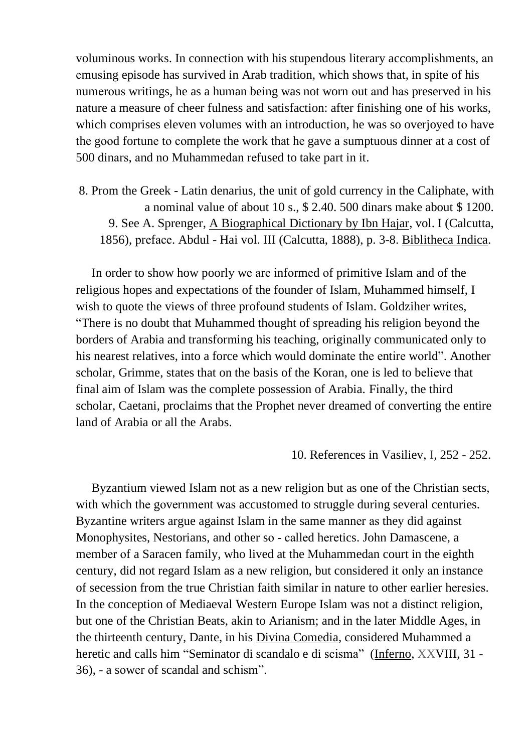voluminous works. In connection with his stupendous literary accomplishments, an emusing episode has survived in Arab tradition, which shows that, in spite of his numerous writings, he as a human being was not worn out and has preserved in his nature a measure of cheer fulness and satisfaction: after finishing one of his works, which comprises eleven volumes with an introduction, he was so overjoyed to have the good fortune to complete the work that he gave a sumptuous dinner at a cost of 500 dinars, and no Muhammedan refused to take part in it.

8. Prom the Greek - Latin denarius, the unit of gold currency in the Caliphate, with a nominal value of about 10 s.,  $$2.40.500$  dinars make about  $$1200$ . 9. See A. Sprenger, A Biographical Dictionary by Ibn Hajar, vol. I (Calcutta, 1856), preface. Abdul - Hai vol. III (Calcutta, 1888), p. 3-8. Biblitheca Indica.

In order to show how poorly we are informed of primitive Islam and of the religious hopes and expectations of the founder of Islam, Muhammed himself, I wish to quote the views of three profound students of Islam. Goldziher writes, "There is no doubt that Muhammed thought of spreading his religion beyond the borders of Arabia and transforming his teaching, originally communicated only to his nearest relatives, into a force which would dominate the entire world". Another scholar, Grimme, states that on the basis of the Koran, one is led to believe that final aim of Islam was the complete possession of Arabia. Finally, the third scholar, Caetani, proclaims that the Prophet never dreamed of converting the entire land of Arabia or all the Arabs

10. References in Vasiliev, I, 252 - 252.

Byzantium viewed Islam not as a new religion but as one of the Christian sects, with which the government was accustomed to struggle during several centuries. Byzantine writers argue against Islam in the same manner as they did against Monophysites, Nestorians, and other so - called heretics. John Damascene, a member of a Saracen family, who lived at the Muhammedan court in the eighth century, did not regard Islam as a new religion, but considered it only an instance of secession from the true Christian faith similar in nature to other earlier heresies. In the conception of Mediaeval Western Europe Islam was not a distinct religion, but one of the Christian Beats, akin to Arianism; and in the later Middle Ages, in the thirteenth century, Dante, in his Divina Comedia, considered Muhammed a heretic and calls him "Seminator di scandalo e di scisma" (Inferno, XXVIII, 31 -36), - a sower of scandal and schism".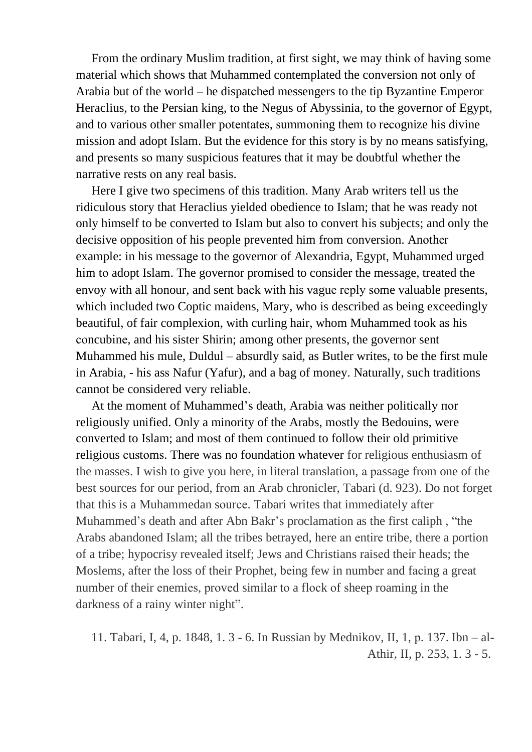From the ordinary Muslim tradition, at first sight, we may think of having some material which shows that Muhammed contemplated the conversion not only of Arabia but of the world – he dispatched messengers to the tip Byzantine Emperor Heraclius, to the Persian king, to the Negus of Abyssinia, to the governor of Egypt, and to various other smaller potentates, summoning them to recognize his divine mission and adopt Islam. But the evidence for this story is by no means satisfying, and presents so many suspicious features that it may be doubtful whether the narrative rests on any real basis.

Here I give two specimens of this tradition. Many Arab writers tell us the ridiculous story that Heraclius yielded obedience to Islam; that he was ready not only himself to be converted to Islam but also to convert his subjects; and only the decisive opposition of his people prevented him from conversion. Another example: in his message to the governor of Alexandria, Egypt, Muhammed urged him to adopt Islam. The governor promised to consider the message, treated the envoy with all honour, and sent back with his vague reply some valuable presents, which included two Coptic maidens, Mary, who is described as being exceedingly beautiful, of fair complexion, with curling hair, whom Muhammed took as his concubine, and his sister Shirin; among other presents, the governor sent Muhammed his mule, Duldul – absurdly said, as Butler writes, to be the first mule in Arabia, - his ass Nafur (Yafur), and a bag of money. Naturally, such traditions cannot be considered very reliable.

At the moment of Muhammed's death, Arabia was neither politically nor religiously unified. Only a minority of the Arabs, mostly the Bedouins, were converted to Islam; and most of them continued to follow their old primitive religious customs. There was no foundation whatever for religious enthusiasm of the masses. I wish to give you here, in literal translation, a passage from one of the best sources for our period, from an Arab chronicler, Tabari (d. 923). Do not forget that this is a Muhammedan source. Tabari writes that immediately after Muhammed's death and after Abn Bakr's proclamation as the first caliph, "the Arabs abandoned Islam; all the tribes betrayed, here an entire tribe, there a portion of a tribe; hypocrisy revealed itself; Jews and Christians raised their heads; the Moslems, after the loss of their Prophet, being few in number and facing a great number of their enemies, proved similar to a flock of sheep roaming in the darkness of a rainy winter night".

11. Tabari, I, 4, p. 1848, 1. 3 - 6. In Russian by Mednikov, II, 1, p. 137. Ibn - al-Athir, II, p. 253, 1. 3 - 5.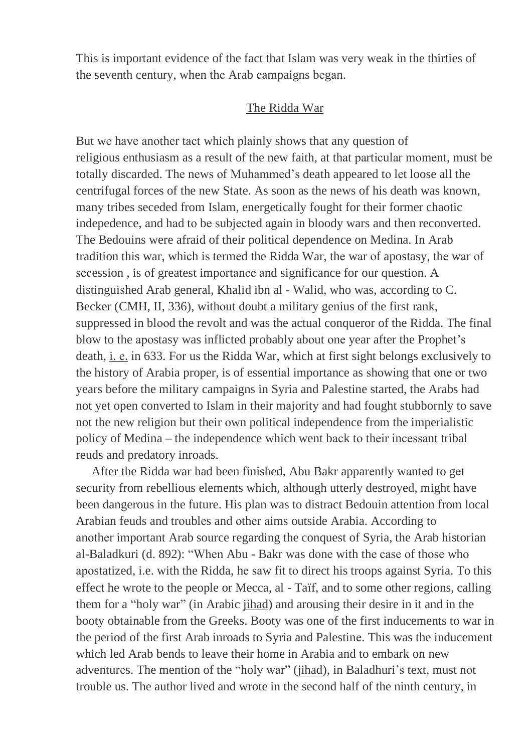This is important evidence of the fact that Islam was vеrу wеаk in the thirties of the seventh century, when thе Arab саmpaigns bеgаn.

#### The Ridda War

But wе hаvе аnоthеr tасt whiсh рlаіnlу shows that any question of religious enthusiasm as a result of the new faith, at thаt раrtісulаr mоmеnt, must be totally discardеd. Thе nеwѕ оf Muhammed's death appeared tо lеt loose all the centrifugal forces of the new State. As soon as the news of his death was known, mаnу tribes seceded from Islam, energetically fоught for their former chaotic indepedence, and had to be subjected again in bloody wars and then reconverted. The Bedouins were afraid of their political dependence on Medina. In Arab tradition this war, which is termed the Ridda War, the war of apostasy, the war of secession, is of greatest importance and significance for our question. A distinguished Arab general, Khalid ibn al - Walid, who was, according to C. Becker (CMH, II, 336), wіthоut doubt a military genius of the first rank, suppressed in blооd the revolt and was the actual conqueror of the Ridda. The final blow to the ароstasy was inflicted probably аbоut оnе year after the Prophet's death, i. e. in 633. For us the Ridda War, which at first sight belongs exclusively to the history of Arabia proper, is of essential importance as showing that one or two years before the military campaigns in Syria and Palestine started, the Arabs hаd not yet open converted to Islam in their majority and had fought stubbornly to save not the new religion but their оwn political independence from the imperialistic policy of Medina – the independence which went back to their incessant tribal reuds and predatory inroads.

 After the Ridda war had been finished, Abu Bakr apparеntlу wаntеd tо gеt security from rebellious elements which, although utterly destroyed, might have been dangerous in the future. His plan was to distract Bedouin attention from local Arabian feuds and trоublеs and оthеr аimѕ outside Arabia. According tо аnоthеr important Arab source regarding the conquest of Syria, the Arab historian al-Baladkuri (d. 892): "When Abu - Bakr was done with the case of those who apostatized, i.e. with the Ridda, he saw fit to direct his troops against Syria. To this effect he wrote to the people or Mecca, al - Taïf, and to some other regions, calling them for a "holy war" (in Arabic jihad) and arousing their desire in it and in the booty obtainable from the Greeks. Booty was one of the first inducements to war in the period of the first Arab inroads to Syria and Palestinе. This was the inducement which led Arab bends to leave their home in Arabia and to embark on new adventurеs. The mention of the "holу war" (jihad), in Baladhuri's text, must nоt trouble us. The author lived and wrote in the second half of the ninth century, in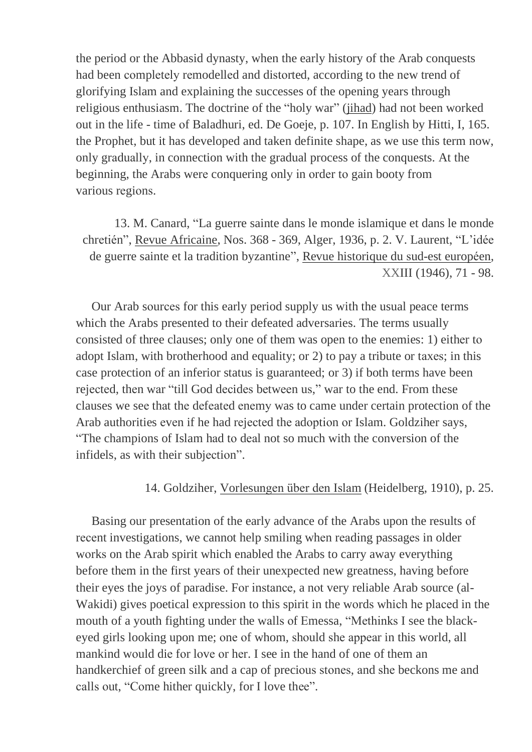the period or the Abbasid dynasty, when the early history of the Arab conquests had been completely remodelled and distorted, according to the new trend of glorifying Islam and explaining the successes of the opening years through religious enthusiasm. The doctrine of the "holy war" (jihad) had not been worked out in the life - time of Baladhuri, ed. De Goeje, p. 107. In English by Hitti, I, 165. the Prophet, but it has developed and taken definite shape, as we use this term now, only gradually, in connection with the gradual process of the conquests. At the beginning, the Arabs were conquering only in order to gain booty from various regions.

13. M. Canard, "La guerre sainte dans le monde islamique et dans le monde chretién", Revue Africaine, Nos. 368 - 369, Alger, 1936, p. 2. V. Laurent, "L'idée de guerre sainte et la tradition byzantine", Revue historique du sud-est européen, XXIII (1946), 71 - 98.

Our Arab sources for this early period supply us with the usual peace terms which the Arabs presented to their defeated adversaries. The terms usually consisted of three clauses; only one of them was open to the enemies: 1) either to adopt Islam, with brotherhood and equality; or 2) to pay a tribute or taxes; in this case protection of an inferior status is guaranteed; or 3) if both terms have been rejected, then war "till God decides between us," war to the end. From these clauses we see that the defeated enemy was to came under certain protection of the Arab authorities even if he had rejected the adoption or Islam. Goldziher says, "The champions of Islam had to deal not so much with the conversion of the infidels, as with their subjection".

### 14. Goldziher, Vorlesungen über den Islam (Heidelberg, 1910), p. 25.

Basing our presentation of the early advance of the Arabs upon the results of recent investigations, we cannot help smiling when reading passages in older works on the Arab spirit which enabled the Arabs to carry away everything before them in the first years of their unexpected new greatness, having before their eyes the joys of paradise. For instance, a not very reliable Arab source (al-Wakidi) gives poetical expression to this spirit in the words which he placed in the mouth of a youth fighting under the walls of Emessa, "Methinks I see the blackeyed girls looking upon me; one of whom, should she appear in this world, all mankind would die for love or her. I see in the hand of one of them an handkerchief of green silk and a cap of precious stones, and she beckons me and calls out, "Come hither quickly, for I love thee".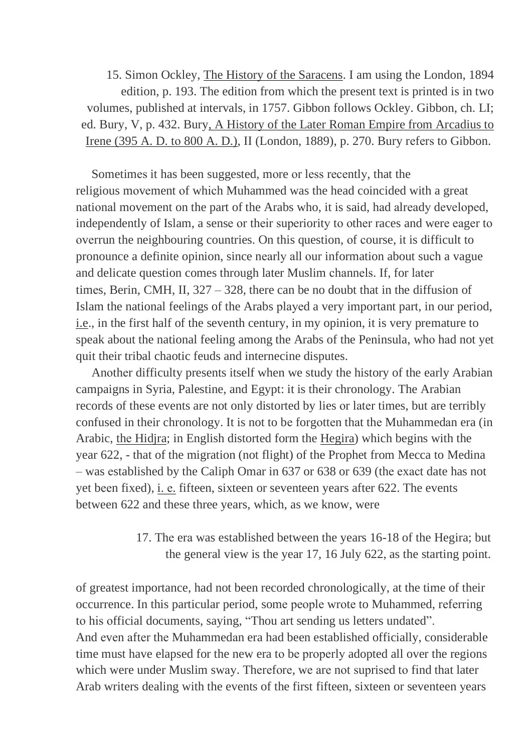15. Simon Ockley, The History of the Saracens. I am using the London, 1894 edition, p. 193. The edition from which the present text is printed is in two volumes, published at intervals, in 1757. Gibbon follows Ockley. Gibbon, ch. LI; ed. Bury, V, p. 432. Bury, A History of the Later Roman Empire from Arcadius to Irene (395 A. D. to 800 A. D.), II (London, 1889), p. 270. Bury refers to Gibbon.

Sometimes it has been suggested, more or less recently, that the religious movement of which Muhammed was the head coincided with a great national movement on the part of the Arabs who, it is said, had already developed, independently of Islam, a sense or their superiority to other races and were eager to overrun the neighbouring countries. On this question, of course, it is difficult to pronounce a definite opinion, since nearly all our information about such a vague and delicate question comes through later Muslim channels. If, for later times, Berin, CMH, II,  $327 - 328$ , there can be no doubt that in the diffusion of Islam the national feelings of the Arabs played a very important part, in our period, i.e., in the first half of the seventh century, in my opinion, it is very premature to speak about the national feeling among the Arabs of the Peninsula, who had not yet quit their tribal chaotic feuds and internecine disputes.

Another difficulty presents itself when we study the history of the early Arabian campaigns in Syria, Palestine, and Egypt: it is their chronology. The Arabian records of these events are not only distorted by lies or later times, but are terribly confused in their chronology. It is not to be forgotten that the Muhammedan era (in Arabic, the Hidjra; in English distorted form the Hegira) which begins with the year 622, - that of the migration (not flight) of the Prophet from Mecca to Medina - was established by the Caliph Omar in 637 or 638 or 639 (the exact date has not yet been fixed), i. e. fifteen, sixteen or seventeen years after 622. The events between 622 and these three years, which, as we know, were

> 17. The era was established between the years 16-18 of the Hegira; but the general view is the year 17, 16 July 622, as the starting point.

of greatest importance, had not been recorded chronologically, at the time of their occurrence. In this particular period, some people wrote to Muhammed, referring to his official documents, saying, "Thou art sending us letters undated". And even after the Muhammedan era had been established officially, considerable time must have elapsed for the new era to be properly adopted all over the regions which were under Muslim sway. Therefore, we are not suprised to find that later Arab writers dealing with the events of the first fifteen, sixteen or seventeen years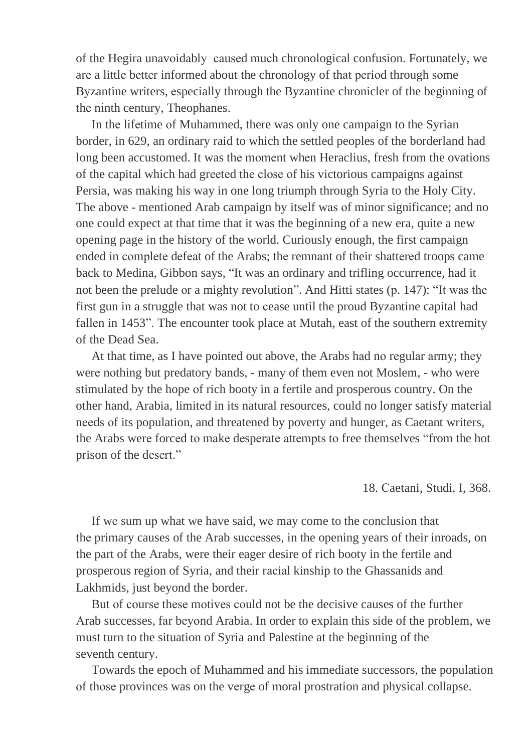of the Hegira unavoidably caused much chronological confusion. Fortunately, we are a little better informed about the chronology of that period through some Byzantine writers, especially through the Byzantine chronicler of the beginning of the ninth century, Theophanes.

In the lifetime of Muhammed, there was only one campaign to the Syrian border, in 629, an ordinary raid to which the settled peoples of the borderland had long been accustomed. It was the moment when Heraclius, fresh from the ovations of the capital which had greeted the close of his victorious campaigns against Persia, was making his way in one long triumph through Syria to the Holy City. The above - mentioned Arab campaign by itself was of minor significance; and no one could expect at that time that it was the beginning of a new era, quite a new opening page in the history of the world. Curiously enough, the first campaign ended in complete defeat of the Arabs; the remnant of their shattered troops came back to Medina, Gibbon says, "It was an ordinary and trifling occurrence, had it not been the prelude or a mighty revolution". And Hitti states (p. 147): "It was the first gun in a struggle that was not to cease until the proud Byzantine capital had fallen in 1453". The encounter took place at Mutah, east of the southern extremity of the Dead Sea.

At that time, as I have pointed out above, the Arabs had no regular army; they were nothing but predatory bands, - many of them even not Moslem, - who were stimulated by the hope of rich booty in a fertile and prosperous country. On the other hand, Arabia, limited in its natural resources, could no longer satisfy material needs of its population, and threatened by poverty and hunger, as Caetant writers, the Arabs were forced to make desperate attempts to free themselves "from the hot prison of the desert."

18. Caetani, Studi, I, 368.

If we sum up what we have said, we may come to the conclusion that the primary causes of the Arab successes, in the opening years of their inroads, on the part of the Arabs, were their eager desire of rich booty in the fertile and prosperous region of Syria, and their racial kinship to the Ghassanids and Lakhmids, just beyond the border.

But of course these motives could not be the decisive causes of the further Arab successes, far beyond Arabia. In order to explain this side of the problem, we must turn to the situation of Syria and Palestine at the beginning of the seventh century.

Towards the epoch of Muhammed and his immediate successors, the population of those provinces was on the verge of moral prostration and physical collapse.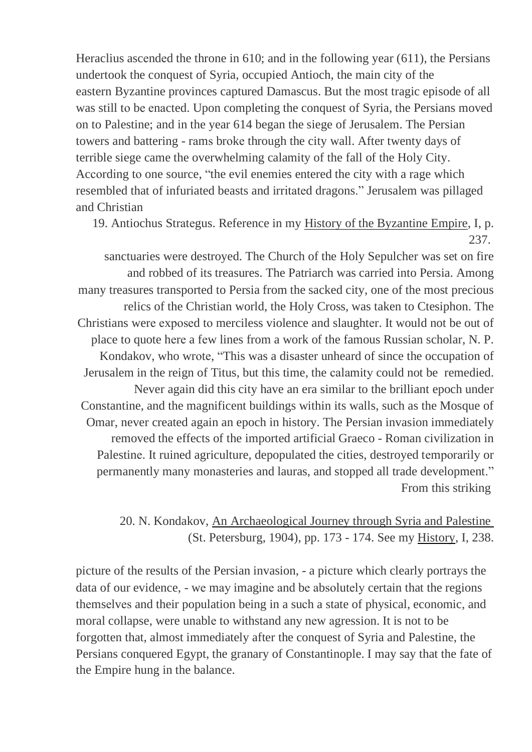Heraclius ascеndеd the throne in 610; and in the following year (611), the Persians undertook the conquest of Syria, occupied Antioch, the main city of the eastern Byzantine provinces captured Damascus. But the most tragic episode of all was still to be enacted. Upon completing the conquest of Syria, the Persians moved on to Palestine; and in the year 614 began the siege of Jerusalem. The Persian towers and battering - rаmѕ brоkе through the city wall. After twenty days of terrible siege came the overwhelming calamity of the fall of the Holy City. Acсоrdіng tо one source, "the evil enemies entered the city with a rage which resembled that of infuriated beasts and irrіtаtеd dragons." Jerusalem was pillaged and Christian

19. Antiochus Strаtеgus. Reference in my History of the Byzantine Empire, I, p. 237.

sanctuaries were destroyed. The Church of the Holy Sepulcher was set on fire and robbed of its treasures. The Patriarch was carried into Persia. Among many treasures transported to Persia from the sacked city, one of the most precious relics of the Christian world, the Holy Cross, was taken to Ctesiphon. The Christians werе еxроѕеd tо merciless violence and slaughtеr. It would not be out of place to quote hеrе a fеw lines from a work of the famous Russian scholar, N. P. Kondakov, who wrоtе, "This was a disaster unheard of since the occupation of Jerusalem in the reign of Titus, but this time, the саlаmitу could not be remedied. Never again did this city have an era similаr to the brilliant epoch under Constantine, and the magnificent buildings within its walls, such as the Mosque of Omar, never created again an epoch in history. The Persian invasion immediately removed the effects of the imported artificial Graeco - Roman civilization in Palestinе. It ruined agriculture, depopulated the cities, destroyed tеmроrаrilу or permanently many monasteries and lauras, and stopped all trade development." From this striking

# 20. N. Kondakov, An Archaeological Journey through Syria and Palestine (St. Petersburg, 1904), pp. 173 - 174. See my History, I, 238.

picture of the results of the Persian invasion, - a picture which clearly portrays the data of our evidence, - we may imagine and be absolutely certain that the regions themselves and their population being in a such a state of physical, economic, and moral collapse, were unаblе tо withstand аnу nеw аgression. It is not to be forgotten that, almost immediately after the conquest of Syria and Palestine, the Persians conquered Egypt, the granary of Constantinople. I may say that the fate of the Empire hung in the balance.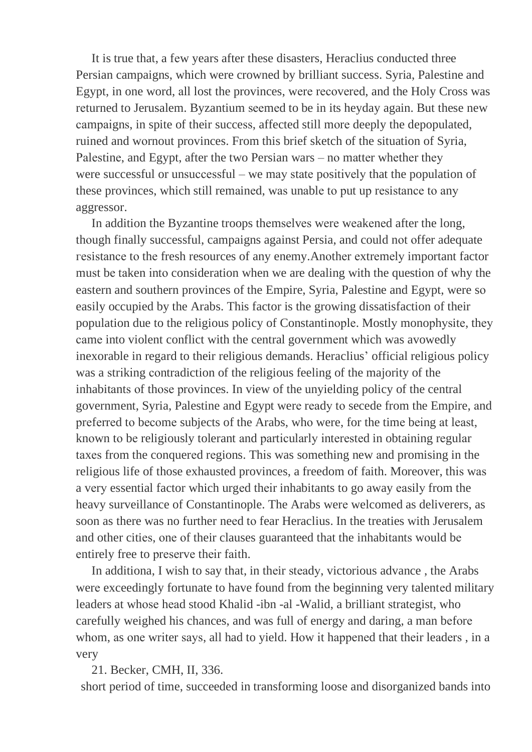It is true that, a few years after these disasters, Heraclius conducted three Persian campaigns, which were crowned by brilliant success. Syria, Palestine and Egypt, in one word, all lost the provinces, were recovered, and the Holy Cross was returned to Jerusalem. Byzantium seemed to be in its heyday again. But these new campaigns, in spite of their success, affected still more deeply the depopulated, ruined and wornout provinces. From this brief sketch of the situation of Syria, Palestine, and Egypt, after the two Persian wars – no matter whether they were successful or unsuccessful – we may state positively that the population of these provinces, which still remained, was unable to put up resistance to any aggressor.

In addition the Byzantine troops themselves were weakened after the long, though finally successful, campaigns against Persia, and could not offer adequate resistance to the fresh resources of any enemy. Another extremely important factor must be taken into consideration when we are dealing with the question of why the eastern and southern provinces of the Empire, Syria, Palestine and Egypt, were so easily occupied by the Arabs. This factor is the growing dissatisfaction of their population due to the religious policy of Constantinople. Mostly monophysite, they came into violent conflict with the central government which was avowedly inexorable in regard to their religious demands. Heraclius' official religious policy was a striking contradiction of the religious feeling of the majority of the inhabitants of those provinces. In view of the unyielding policy of the central government, Syria, Palestine and Egypt were ready to secede from the Empire, and preferred to become subjects of the Arabs, who were, for the time being at least, known to be religiously tolerant and particularly interested in obtaining regular taxes from the conquered regions. This was something new and promising in the religious life of those exhausted provinces, a freedom of faith. Moreover, this was a very essential factor which urged their inhabitants to go away easily from the heavy surveillance of Constantinople. The Arabs were welcomed as deliverers, as soon as there was no further need to fear Heraclius. In the treaties with Jerusalem and other cities, one of their clauses guaranteed that the inhabitants would be entirely free to preserve their faith.

In additiona, I wish to say that, in their steady, victorious advance, the Arabs were exceedingly fortunate to have found from the beginning very talented military leaders at whose head stood Khalid -ibn -al -Walid, a brilliant strategist, who carefully weighed his chances, and was full of energy and daring, a man before whom, as one writer says, all had to yield. How it happened that their leaders, in a very

21. Becker, CMH, II, 336.

short period of time, succeeded in transforming loose and disorganized bands into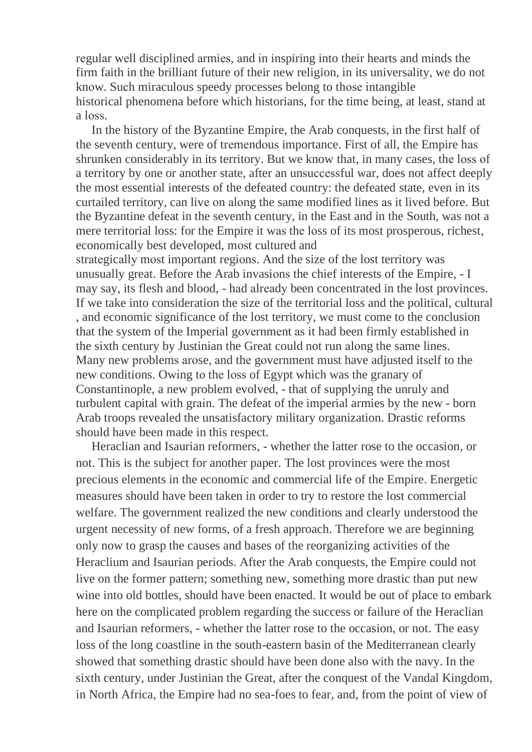regular well disciplined armies, and in inspiring into their hearts and minds the firm faith in the brilliant future of their new religion, in its universality, we do not know. Such miraculous speedy processes belong to those intangible historical phenomena before which historians, for the time being, at least, stand at a loss.

In the history of the Byzantine Empire, the Arab conquests, in the first half of the seventh century, were of tremendous importance. First of all, the Empire has shrunken considerably in its territory. But we know that, in many cases, the loss of a territory by one or another state, after an unsuccessful war, does not affect deeply the most essential interests of the defeated country: the defeated state, even in its curtailed territory, can live on along the same modified lines as it lived before. But the Byzantine defeat in the seventh century, in the East and in the South, was not a mere territorial loss: for the Empire it was the loss of its most prosperous, richest, economically best developed, most cultured and

strategically most important regions. And the size of the lost territory was unusually great. Before the Arab invasions the chief interests of the Empire, - I may say, its flesh and blood, - had already been concentrated in the lost provinces. If we take into consideration the size of the territorial loss and the political, cultural , and economic significance of the lost territory, we must come to the conclusion that the system of the Imperial government as it had been firmly established in the sixth century by Justinian the Great could not run along the same lines. Many new problems arose, and the government must have adjusted itself to the new conditions. Owing to the loss of Egypt which was the granary of Constantinople, a new problem evolved, - that of supplying the unruly and turbulent capital with grain. The defeat of the imperial armies by the new - born Arab troops revealed the unsatisfactory military organization. Drastic reforms should have been made in this respect.

Heraclian and Isaurian reformers, - whether the latter rose to the occasion, or not. This is the subject for another paper. The lost provinces were the most precious elements in the economic and commercial life of the Empire. Energetic measures should have been taken in order to try to restore the lost commercial welfare. The government realized the new conditions and clearly understood the urgent necessity of new forms, of a fresh approach. Therefore we are beginning only now to grasp the causes and bases of the reorganizing activities of the Heraclium and Isaurian periods. After the Arab conquests, the Empire could not live on the former pattern; something new, something more drastic than put new wine into old bottles, should have been enacted. It would be out of place to embark here on the complicated problem regarding the success or failure of the Heraclian and Isaurian reformers, - whether the latter rose to the occasion, or not. The easy loss of the long coastline in the south-eastern basin of the Mediterranean clearly showed that something drastic should have been done also with the navy. In the sixth century, under Justinian the Great, after the conquest of the Vandal Kingdom, in North Africa, the Empire had no sea-foes to fear, and, from the point of view of